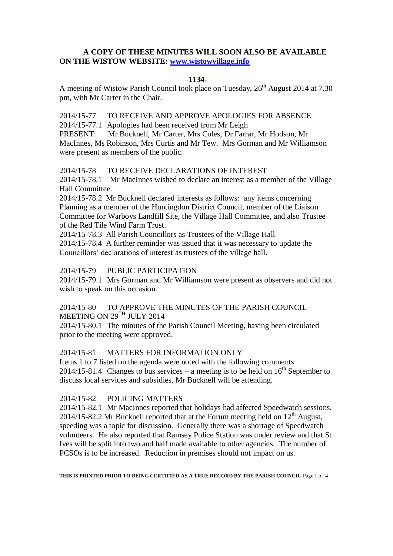# **A COPY OF THESE MINUTES WILL SOON ALSO BE AVAILABLE ON THE WISTOW WEBSITE: [www.wistowvillage.info](http://www.wistowvillage.info/)**

#### **-1134-**

A meeting of Wistow Parish Council took place on Tuesday,  $26<sup>th</sup>$  August 2014 at 7.30 pm, with Mr Carter in the Chair.

2014/15-77 TO RECEIVE AND APPROVE APOLOGIES FOR ABSENCE

2014/15-77.1 Apologies had been received from Mr Leigh

PRESENT: Mr Bucknell, Mr Carter, Mrs Coles, Dr Farrar, Mr Hodson, Mr MacInnes, Ms Robinson, Mrs Curtis and Mr Tew. Mrs Gorman and Mr Williamson were present as members of the public.

2014/15-78 TO RECEIVE DECLARATIONS OF INTEREST

2014/15-78.1 Mr MacInnes wished to declare an interest as a member of the Village Hall Committee.

2014/15-78.2 Mr Bucknell declared interests as follows: any items concerning Planning as a member of the Huntingdon District Council, member of the Liaison Committee for Warboys Landfill Site, the Village Hall Committee, and also Trustee of the Red Tile Wind Farm Trust.

2014/15-78.3 All Parish Councillors as Trustees of the Village Hall

2014/15-78.4 A further reminder was issued that it was necessary to update the Councillors' declarations of interest as trustees of the village hall.

# 2014/15-79 PUBLIC PARTICIPATION

2014/15-79.1 Mrs Gorman and Mr Williamson were present as observers and did not wish to speak on this occasion.

# 2014/15-80 TO APPROVE THE MINUTES OF THE PARISH COUNCIL MEETING ON 29TH JULY 2014

2014/15-80.1 The minutes of the Parish Council Meeting, having been circulated prior to the meeting were approved.

# 2014/15-81 MATTERS FOR INFORMATION ONLY

Items 1 to 7 listed on the agenda were noted with the following comments 2014/15-81.4 Changes to bus services – a meeting is to be held on  $16<sup>th</sup>$  September to discuss local services and subsidies, Mr Bucknell will be attending.

# 2014/15-82 POLICING MATTERS

2014/15-82.1 Mr MacInnes reported that holidays had affected Speedwatch sessions.  $2014/15$ -82.2 Mr Bucknell reported that at the Forum meeting held on  $12<sup>th</sup>$  August, speeding was a topic for discussion. Generally there was a shortage of Speedwatch volunteers. He also reported that Ramsey Police Station was under review and that St Ives will be split into two and half made available to other agencies. The number of PCSOs is to be increased. Reduction in premises should not impact on us.

**THIS IS PRINTED PRIOR TO BEING CERTIFIED AS A TRUE RECORD BY THE PARISH COUNCIL** Page 1 of 4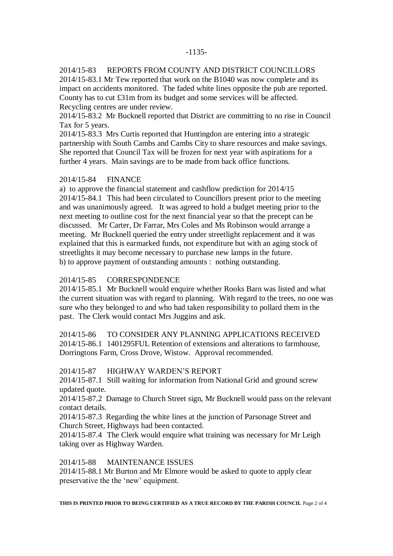#### -1135-

# 2014/15-83 REPORTS FROM COUNTY AND DISTRICT COUNCILLORS

2014/15-83.1 Mr Tew reported that work on the B1040 was now complete and its impact on accidents monitored. The faded white lines opposite the pub are reported. County has to cut £31m from its budget and some services will be affected. Recycling centres are under review.

2014/15-83.2 Mr Bucknell reported that District are committing to no rise in Council Tax for 5 years.

2014/15-83.3 Mrs Curtis reported that Huntingdon are entering into a strategic partnership with South Cambs and Cambs City to share resources and make savings. She reported that Council Tax will be frozen for next year with aspirations for a further 4 years. Main savings are to be made from back office functions.

### 2014/15-84 FINANCE

a) to approve the financial statement and cashflow prediction for 2014/15 2014/15-84.1 This had been circulated to Councillors present prior to the meeting and was unanimously agreed. It was agreed to hold a budget meeting prior to the next meeting to outline cost for the next financial year so that the precept can be discussed. Mr Carter, Dr Farrar, Mrs Coles and Ms Robinson would arrange a meeting. Mr Bucknell queried the entry under streetlight replacement and it was explained that this is earmarked funds, not expenditure but with an aging stock of streetlights it may become necessary to purchase new lamps in the future. b) to approve payment of outstanding amounts : nothing outstanding.

### 2014/15-85 CORRESPONDENCE

2014/15-85.1 Mr Bucknell would enquire whether Rooks Barn was listed and what the current situation was with regard to planning. With regard to the trees, no one was sure who they belonged to and who had taken responsibility to pollard them in the past. The Clerk would contact Mrs Juggins and ask.

# 2014/15-86 TO CONSIDER ANY PLANNING APPLICATIONS RECEIVED 2014/15-86.1 1401295FUL Retention of extensions and alterations to farmhouse, Dorringtons Farm, Cross Drove, Wistow. Approval recommended.

#### 2014/15-87 HIGHWAY WARDEN'S REPORT

2014/15-87.1 Still waiting for information from National Grid and ground screw updated quote.

2014/15-87.2 Damage to Church Street sign, Mr Bucknell would pass on the relevant contact details.

2014/15-87.3 Regarding the white lines at the junction of Parsonage Street and Church Street, Highways had been contacted.

2014/15-87.4 The Clerk would enquire what training was necessary for Mr Leigh taking over as Highway Warden.

### 2014/15-88 MAINTENANCE ISSUES

2014/15-88.1 Mr Burton and Mr Elmore would be asked to quote to apply clear preservative the the 'new' equipment.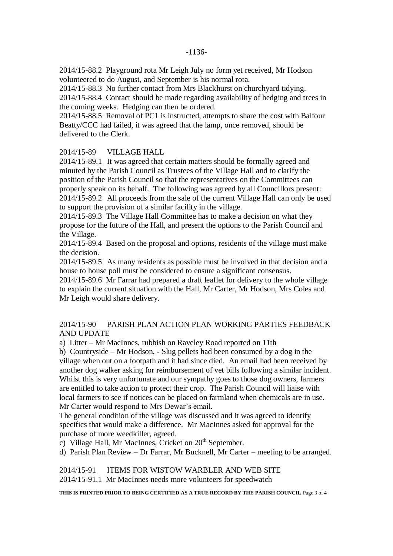2014/15-88.2 Playground rota Mr Leigh July no form yet received, Mr Hodson volunteered to do August, and September is his normal rota.

2014/15-88.3 No further contact from Mrs Blackhurst on churchyard tidying. 2014/15-88.4 Contact should be made regarding availability of hedging and trees in the coming weeks. Hedging can then be ordered.

2014/15-88.5 Removal of PC1 is instructed, attempts to share the cost with Balfour Beatty/CCC had failed, it was agreed that the lamp, once removed, should be delivered to the Clerk.

# 2014/15-89 VILLAGE HALL

2014/15-89.1 It was agreed that certain matters should be formally agreed and minuted by the Parish Council as Trustees of the Village Hall and to clarify the position of the Parish Council so that the representatives on the Committees can properly speak on its behalf. The following was agreed by all Councillors present: 2014/15-89.2 All proceeds from the sale of the current Village Hall can only be used to support the provision of a similar facility in the village.

2014/15-89.3 The Village Hall Committee has to make a decision on what they propose for the future of the Hall, and present the options to the Parish Council and the Village.

2014/15-89.4 Based on the proposal and options, residents of the village must make the decision.

2014/15-89.5 As many residents as possible must be involved in that decision and a house to house poll must be considered to ensure a significant consensus.

2014/15-89.6 Mr Farrar had prepared a draft leaflet for delivery to the whole village to explain the current situation with the Hall, Mr Carter, Mr Hodson, Mrs Coles and Mr Leigh would share delivery.

2014/15-90 PARISH PLAN ACTION PLAN WORKING PARTIES FEEDBACK AND UPDATE

a) Litter – Mr MacInnes, rubbish on Raveley Road reported on 11th

b) Countryside – Mr Hodson, - Slug pellets had been consumed by a dog in the village when out on a footpath and it had since died. An email had been received by another dog walker asking for reimbursement of vet bills following a similar incident. Whilst this is very unfortunate and our sympathy goes to those dog owners, farmers are entitled to take action to protect their crop. The Parish Council will liaise with local farmers to see if notices can be placed on farmland when chemicals are in use. Mr Carter would respond to Mrs Dewar's email.

The general condition of the village was discussed and it was agreed to identify specifics that would make a difference. Mr MacInnes asked for approval for the purchase of more weedkiller, agreed.

c) Village Hall, Mr MacInnes, Cricket on  $20<sup>th</sup>$  September.

d) Parish Plan Review – Dr Farrar, Mr Bucknell, Mr Carter – meeting to be arranged.

2014/15-91 ITEMS FOR WISTOW WARBLER AND WEB SITE 2014/15-91.1 Mr MacInnes needs more volunteers for speedwatch

**THIS IS PRINTED PRIOR TO BEING CERTIFIED AS A TRUE RECORD BY THE PARISH COUNCIL** Page 3 of 4